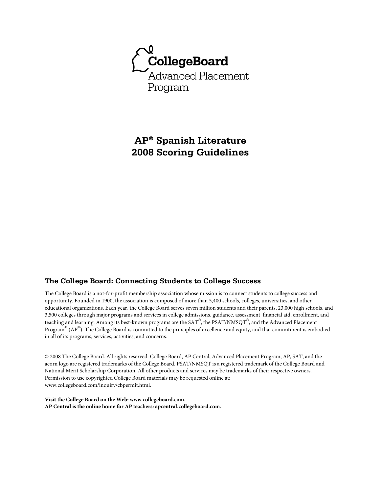

**AP® Spanish Literature 2008 Scoring Guidelines** 

# **The College Board: Connecting Students to College Success**

The College Board is a not-for-profit membership association whose mission is to connect students to college success and opportunity. Founded in 1900, the association is composed of more than 5,400 schools, colleges, universities, and other educational organizations. Each year, the College Board serves seven million students and their parents, 23,000 high schools, and 3,500 colleges through major programs and services in college admissions, guidance, assessment, financial aid, enrollment, and teaching and learning. Among its best-known programs are the SAT®, the PSAT/NMSQT®, and the Advanced Placement Program® (AP®). The College Board is committed to the principles of excellence and equity, and that commitment is embodied in all of its programs, services, activities, and concerns.

© 2008 The College Board. All rights reserved. College Board, AP Central, Advanced Placement Program, AP, SAT, and the acorn logo are registered trademarks of the College Board. PSAT/NMSQT is a registered trademark of the College Board and National Merit Scholarship Corporation. All other products and services may be trademarks of their respective owners. Permission to use copyrighted College Board materials may be requested online at: www.collegeboard.com/inquiry/cbpermit.html.

**Visit the College Board on the Web: www.collegeboard.com. AP Central is the online home for AP teachers: apcentral.collegeboard.com.**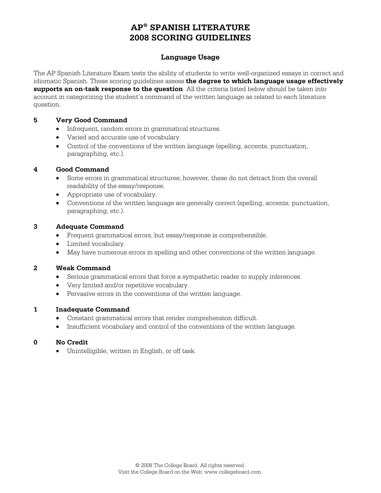# **Language Usage**

The AP Spanish Literature Exam tests the ability of students to write well-organized essays in correct and idiomatic Spanish. These scoring guidelines assess **the degree to which language usage effectively supports an on-task response to the question**. All the criteria listed below should be taken into account in categorizing the student's command of the written language as related to each literature question.

#### **5 Very Good Command**

- Infrequent, random errors in grammatical structures.
- Varied and accurate use of vocabulary.
- Control of the conventions of the written language (spelling, accents, punctuation, paragraphing, etc.).

#### **4 Good Command**

- Some errors in grammatical structures; however, these do not detract from the overall readability of the essay/response.
- Appropriate use of vocabulary.
- Conventions of the written language are generally correct (spelling, accents, punctuation, paragraphing, etc.).

#### **3 Adequate Command**

- Frequent grammatical errors, but essay/response is comprehensible.
- Limited vocabulary.
- May have numerous errors in spelling and other conventions of the written language.

## **2 Weak Command**

- Serious grammatical errors that force a sympathetic reader to supply inferences.
- Very limited and/or repetitive vocabulary.
- Pervasive errors in the conventions of the written language.

## **1 Inadequate Command**

- Constant grammatical errors that render comprehension difficult.
- Insufficient vocabulary and control of the conventions of the written language.

#### **0 No Credit**

• Unintelligible, written in English, or off task.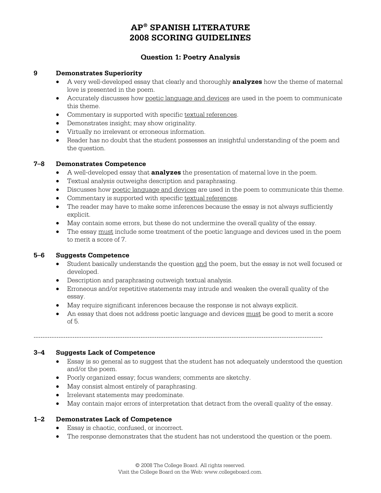# **Question 1: Poetry Analysis**

#### **9 Demonstrates Superiority**

- A very well-developed essay that clearly and thoroughly **analyzes** how the theme of maternal love is presented in the poem.
- Accurately discusses how poetic language and devices are used in the poem to communicate this theme.
- Commentary is supported with specific textual references.
- Demonstrates insight; may show originality.
- Virtually no irrelevant or erroneous information.
- Reader has no doubt that the student possesses an insightful understanding of the poem and the question.

#### **7–8 Demonstrates Competence**

- A well-developed essay that **analyzes** the presentation of maternal love in the poem.
- Textual analysis outweighs description and paraphrasing.
- Discusses how poetic language and devices are used in the poem to communicate this theme.
- Commentary is supported with specific textual references.
- The reader may have to make some inferences because the essay is not always sufficiently explicit.
- May contain some errors, but these do not undermine the overall quality of the essay.
- The essay must include some treatment of the poetic language and devices used in the poem to merit a score of 7.

#### **5–6 Suggests Competence**

- Student basically understands the question and the poem, but the essay is not well focused or developed.
- Description and paraphrasing outweigh textual analysis.
- Erroneous and/or repetitive statements may intrude and weaken the overall quality of the essay.
- May require significant inferences because the response is not always explicit.
- An essay that does not address poetic language and devices must be good to merit a score of 5.

-------------------------------------------------------------------------------------------------------------------------------

## **3–4 Suggests Lack of Competence**

- Essay is so general as to suggest that the student has not adequately understood the question and/or the poem.
- Poorly organized essay; focus wanders; comments are sketchy.
- May consist almost entirely of paraphrasing.
- Irrelevant statements may predominate.
- May contain major errors of interpretation that detract from the overall quality of the essay.

#### **1–2 Demonstrates Lack of Competence**

- Essay is chaotic, confused, or incorrect.
- The response demonstrates that the student has not understood the question or the poem.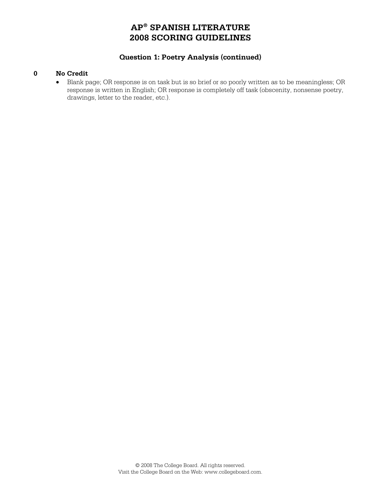# **Question 1: Poetry Analysis (continued)**

#### **0 No Credit**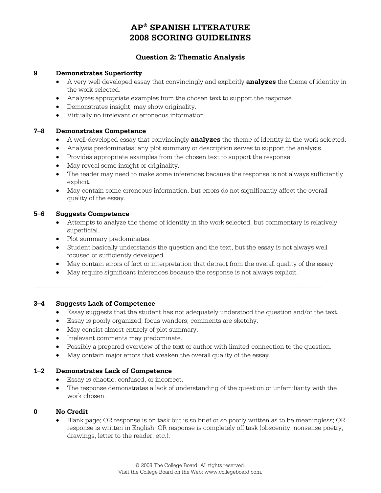# **Question 2: Thematic Analysis**

#### **9 Demonstrates Superiority**

- A very well-developed essay that convincingly and explicitly **analyzes** the theme of identity in the work selected.
- Analyzes appropriate examples from the chosen text to support the response.
- Demonstrates insight; may show originality.
- Virtually no irrelevant or erroneous information.

#### **7–8 Demonstrates Competence**

- A well-developed essay that convincingly **analyzes** the theme of identity in the work selected.
- Analysis predominates; any plot summary or description serves to support the analysis.
- Provides appropriate examples from the chosen text to support the response.
- May reveal some insight or originality.
- The reader may need to make some inferences because the response is not always sufficiently explicit.
- May contain some erroneous information, but errors do not significantly affect the overall quality of the essay.

#### **5–6 Suggests Competence**

- Attempts to analyze the theme of identity in the work selected, but commentary is relatively superficial.
- Plot summary predominates.
- Student basically understands the question and the text, but the essay is not always well focused or sufficiently developed.
- May contain errors of fact or interpretation that detract from the overall quality of the essay.
- May require significant inferences because the response is not always explicit.

-------------------------------------------------------------------------------------------------------------------------------

# **3–4 Suggests Lack of Competence**

- Essay suggests that the student has not adequately understood the question and/or the text.
- Essay is poorly organized; focus wanders; comments are sketchy.
- May consist almost entirely of plot summary.
- Irrelevant comments may predominate.
- Possibly a prepared overview of the text or author with limited connection to the question.
- May contain major errors that weaken the overall quality of the essay.

#### **1–2 Demonstrates Lack of Competence**

- Essay is chaotic, confused, or incorrect.
- The response demonstrates a lack of understanding of the question or unfamiliarity with the work chosen.

#### **0 No Credit**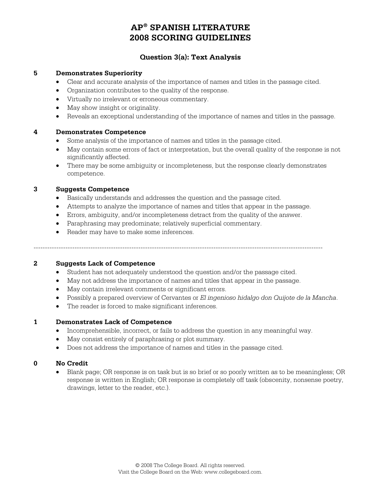# **Question 3(a): Text Analysis**

#### **5 Demonstrates Superiority**

- Clear and accurate analysis of the importance of names and titles in the passage cited.
- Organization contributes to the quality of the response.
- Virtually no irrelevant or erroneous commentary.
- May show insight or originality.
- Reveals an exceptional understanding of the importance of names and titles in the passage.

#### **4 Demonstrates Competence**

- Some analysis of the importance of names and titles in the passage cited.
- May contain some errors of fact or interpretation, but the overall quality of the response is not significantly affected.
- There may be some ambiguity or incompleteness, but the response clearly demonstrates competence.

#### **3 Suggests Competence**

- Basically understands and addresses the question and the passage cited.
- Attempts to analyze the importance of names and titles that appear in the passage.
- Errors, ambiguity, and/or incompleteness detract from the quality of the answer.
- Paraphrasing may predominate; relatively superficial commentary.
- Reader may have to make some inferences.

-------------------------------------------------------------------------------------------------------------------------------

#### **2 Suggests Lack of Competence**

- Student has not adequately understood the question and/or the passage cited.
- May not address the importance of names and titles that appear in the passage.
- May contain irrelevant comments or significant errors.
- Possibly a prepared overview of Cervantes or *El ingenioso hidalgo don Quijote de la Mancha*.
- The reader is forced to make significant inferences.

## **1 Demonstrates Lack of Competence**

- Incomprehensible, incorrect, or fails to address the question in any meaningful way.
- May consist entirely of paraphrasing or plot summary.
- Does not address the importance of names and titles in the passage cited.

## **0 No Credit**